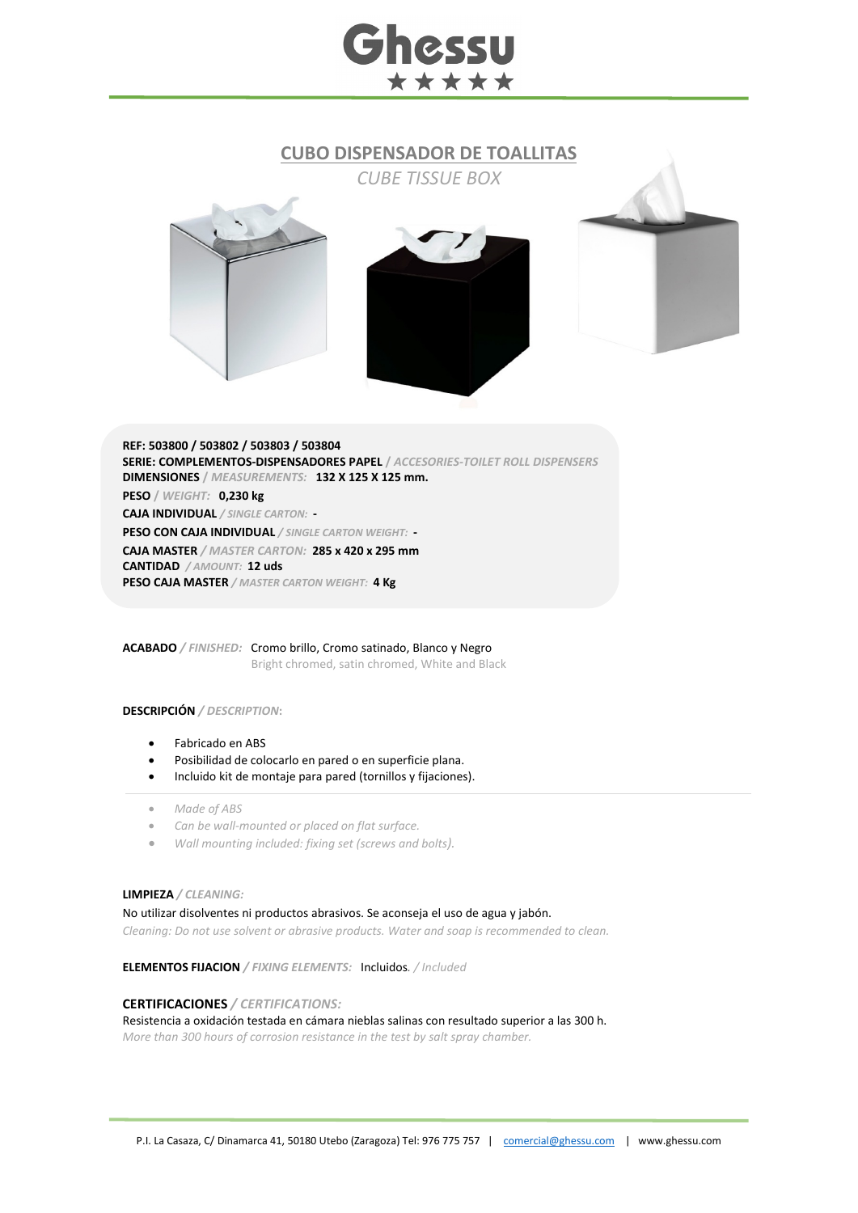# hessu \*\*\*\*\*

### **CUBO DISPENSADOR DE TOALLITAS**







**REF: 503800 / 503802 / 503803 / 503804 SERIE: COMPLEMENTOS-DISPENSADORES PAPEL /** *ACCESORIES-TOILET ROLL DISPENSERS* **DIMENSIONES /** *MEASUREMENTS:* **132 X 125 X 125 mm.** 

**PESO /** *WEIGHT:* **0,230 kg** 

**CAJA INDIVIDUAL** */ SINGLE CARTON:* **-**

**PESO CON CAJA INDIVIDUAL** */ SINGLE CARTON WEIGHT:* **- CAJA MASTER** */ MASTER CARTON:* **285 x 420 x 295 mm**

**CANTIDAD** */ AMOUNT:* **12 uds**

**PESO CAJA MASTER** */ MASTER CARTON WEIGHT:* **4 Kg**

**ACABADO** */ FINISHED:* Cromo brillo, Cromo satinado, Blanco y Negro Bright chromed, satin chromed, White and Black

#### **DESCRIPCIÓN** */ DESCRIPTION***:**

- Fabricado en ABS
- Posibilidad de colocarlo en pared o en superficie plana.
- Incluido kit de montaje para pared (tornillos y fijaciones).
- *Made of ABS*
- *Can be wall-mounted or placed on flat surface.*
- *Wall mounting included: fixing set (screws and bolts).*

#### **LIMPIEZA** */ CLEANING:*

No utilizar disolventes ni productos abrasivos. Se aconseja el uso de agua y jabón.

*Cleaning: Do not use solvent or abrasive products. Water and soap is recommended to clean.*

**ELEMENTOS FIJACION** */ FIXING ELEMENTS:* Incluidos*. / Included*

#### **CERTIFICACIONES** */ CERTIFICATIONS:*

Resistencia a oxidación testada en cámara nieblas salinas con resultado superior a las 300 h.

*More than 300 hours of corrosion resistance in the test by salt spray chamber.*